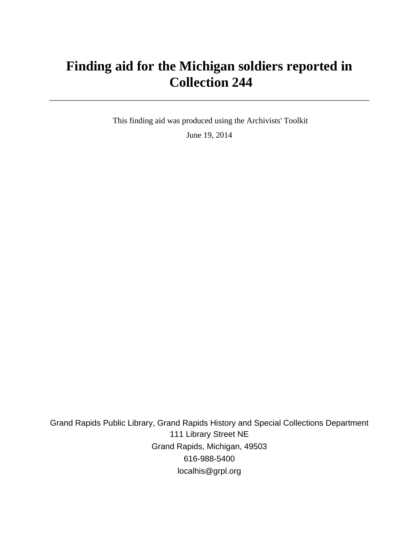# **Finding aid for the Michigan soldiers reported in Collection 244**

 This finding aid was produced using the Archivists' Toolkit June 19, 2014

Grand Rapids Public Library, Grand Rapids History and Special Collections Department 111 Library Street NE Grand Rapids, Michigan, 49503 616-988-5400 localhis@grpl.org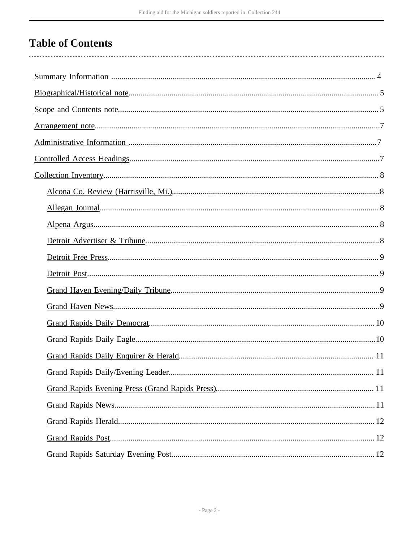# **Table of Contents**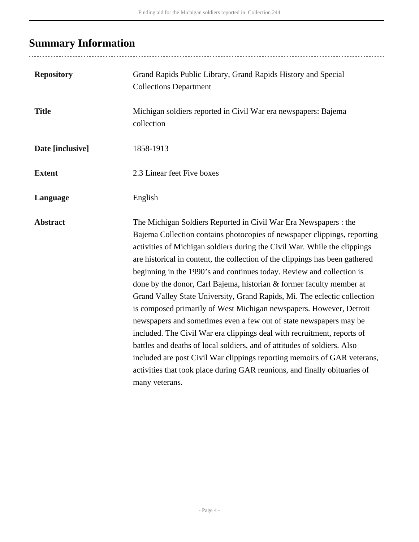# <span id="page-3-0"></span>**Summary Information**

..................................

| <b>Repository</b> | Grand Rapids Public Library, Grand Rapids History and Special<br><b>Collections Department</b>                                                                                                                                                                                                                                                                                                                                                                                                                                                                                                                                                                                                                                                                                                                                                                                                                                                                                                                        |
|-------------------|-----------------------------------------------------------------------------------------------------------------------------------------------------------------------------------------------------------------------------------------------------------------------------------------------------------------------------------------------------------------------------------------------------------------------------------------------------------------------------------------------------------------------------------------------------------------------------------------------------------------------------------------------------------------------------------------------------------------------------------------------------------------------------------------------------------------------------------------------------------------------------------------------------------------------------------------------------------------------------------------------------------------------|
| <b>Title</b>      | Michigan soldiers reported in Civil War era newspapers: Bajema<br>collection                                                                                                                                                                                                                                                                                                                                                                                                                                                                                                                                                                                                                                                                                                                                                                                                                                                                                                                                          |
| Date [inclusive]  | 1858-1913                                                                                                                                                                                                                                                                                                                                                                                                                                                                                                                                                                                                                                                                                                                                                                                                                                                                                                                                                                                                             |
| <b>Extent</b>     | 2.3 Linear feet Five boxes                                                                                                                                                                                                                                                                                                                                                                                                                                                                                                                                                                                                                                                                                                                                                                                                                                                                                                                                                                                            |
| Language          | English                                                                                                                                                                                                                                                                                                                                                                                                                                                                                                                                                                                                                                                                                                                                                                                                                                                                                                                                                                                                               |
| <b>Abstract</b>   | The Michigan Soldiers Reported in Civil War Era Newspapers : the<br>Bajema Collection contains photocopies of newspaper clippings, reporting<br>activities of Michigan soldiers during the Civil War. While the clippings<br>are historical in content, the collection of the clippings has been gathered<br>beginning in the 1990's and continues today. Review and collection is<br>done by the donor, Carl Bajema, historian & former faculty member at<br>Grand Valley State University, Grand Rapids, Mi. The eclectic collection<br>is composed primarily of West Michigan newspapers. However, Detroit<br>newspapers and sometimes even a few out of state newspapers may be<br>included. The Civil War era clippings deal with recruitment, reports of<br>battles and deaths of local soldiers, and of attitudes of soldiers. Also<br>included are post Civil War clippings reporting memoirs of GAR veterans,<br>activities that took place during GAR reunions, and finally obituaries of<br>many veterans. |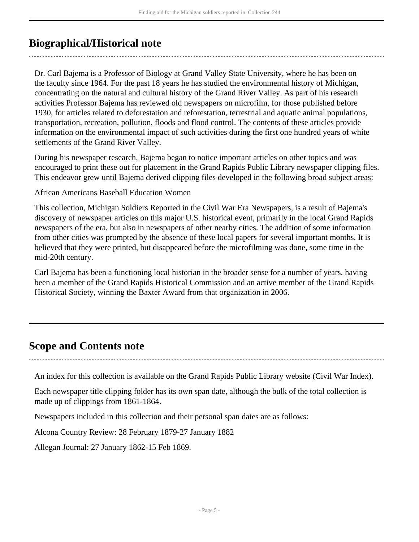## <span id="page-4-0"></span>**Biographical/Historical note**

Dr. Carl Bajema is a Professor of Biology at Grand Valley State University, where he has been on the faculty since 1964. For the past 18 years he has studied the environmental history of Michigan, concentrating on the natural and cultural history of the Grand River Valley. As part of his research activities Professor Bajema has reviewed old newspapers on microfilm, for those published before 1930, for articles related to deforestation and reforestation, terrestrial and aquatic animal populations, transportation, recreation, pollution, floods and flood control. The contents of these articles provide information on the environmental impact of such activities during the first one hundred years of white settlements of the Grand River Valley.

During his newspaper research, Bajema began to notice important articles on other topics and was encouraged to print these out for placement in the Grand Rapids Public Library newspaper clipping files. This endeavor grew until Bajema derived clipping files developed in the following broad subject areas:

African Americans Baseball Education Women

This collection, Michigan Soldiers Reported in the Civil War Era Newspapers, is a result of Bajema's discovery of newspaper articles on this major U.S. historical event, primarily in the local Grand Rapids newspapers of the era, but also in newspapers of other nearby cities. The addition of some information from other cities was prompted by the absence of these local papers for several important months. It is believed that they were printed, but disappeared before the microfilming was done, some time in the mid-20th century.

Carl Bajema has been a functioning local historian in the broader sense for a number of years, having been a member of the Grand Rapids Historical Commission and an active member of the Grand Rapids Historical Society, winning the Baxter Award from that organization in 2006.

### <span id="page-4-1"></span>**Scope and Contents note**

An index for this collection is available on the Grand Rapids Public Library website (Civil War Index).

Each newspaper title clipping folder has its own span date, although the bulk of the total collection is made up of clippings from 1861-1864.

Newspapers included in this collection and their personal span dates are as follows:

Alcona Country Review: 28 February 1879-27 January 1882

Allegan Journal: 27 January 1862-15 Feb 1869.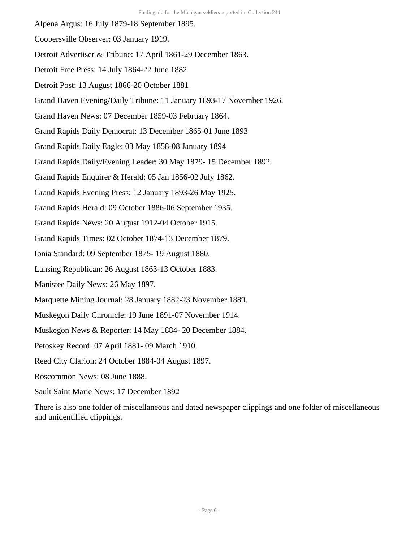Alpena Argus: 16 July 1879-18 September 1895.

- Coopersville Observer: 03 January 1919.
- Detroit Advertiser & Tribune: 17 April 1861-29 December 1863.
- Detroit Free Press: 14 July 1864-22 June 1882
- Detroit Post: 13 August 1866-20 October 1881
- Grand Haven Evening/Daily Tribune: 11 January 1893-17 November 1926.
- Grand Haven News: 07 December 1859-03 February 1864.
- Grand Rapids Daily Democrat: 13 December 1865-01 June 1893
- Grand Rapids Daily Eagle: 03 May 1858-08 January 1894
- Grand Rapids Daily/Evening Leader: 30 May 1879- 15 December 1892.
- Grand Rapids Enquirer & Herald: 05 Jan 1856-02 July 1862.
- Grand Rapids Evening Press: 12 January 1893-26 May 1925.
- Grand Rapids Herald: 09 October 1886-06 September 1935.
- Grand Rapids News: 20 August 1912-04 October 1915.
- Grand Rapids Times: 02 October 1874-13 December 1879.
- Ionia Standard: 09 September 1875- 19 August 1880.
- Lansing Republican: 26 August 1863-13 October 1883.
- Manistee Daily News: 26 May 1897.
- Marquette Mining Journal: 28 January 1882-23 November 1889.
- Muskegon Daily Chronicle: 19 June 1891-07 November 1914.
- Muskegon News & Reporter: 14 May 1884- 20 December 1884.
- Petoskey Record: 07 April 1881- 09 March 1910.
- Reed City Clarion: 24 October 1884-04 August 1897.
- Roscommon News: 08 June 1888.
- Sault Saint Marie News: 17 December 1892

There is also one folder of miscellaneous and dated newspaper clippings and one folder of miscellaneous and unidentified clippings.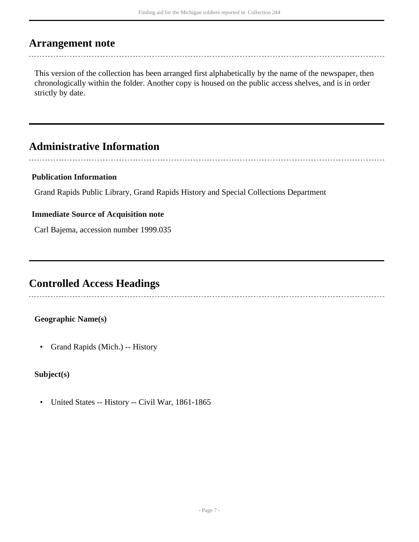### <span id="page-6-0"></span>**Arrangement note**

This version of the collection has been arranged first alphabetically by the name of the newspaper, then chronologically within the folder. Another copy is housed on the public access shelves, and is in order strictly by date.

## <span id="page-6-1"></span>**Administrative Information**

### **Publication Information**

Grand Rapids Public Library, Grand Rapids History and Special Collections Department

#### **Immediate Source of Acquisition note**

Carl Bajema, accession number 1999.035

### <span id="page-6-2"></span>**Controlled Access Headings**

#### **Geographic Name(s)**

• Grand Rapids (Mich.) -- History

#### **Subject(s)**

• United States -- History -- Civil War, 1861-1865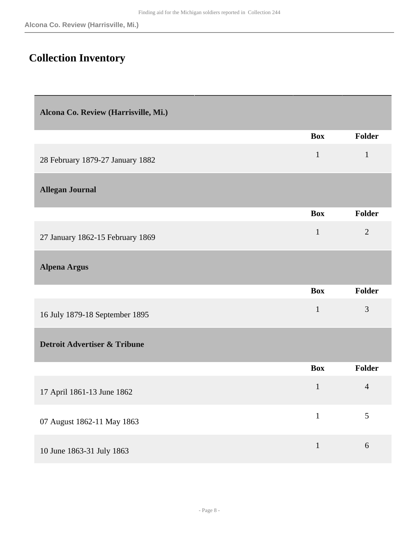## <span id="page-7-0"></span>**Collection Inventory**

<span id="page-7-4"></span><span id="page-7-3"></span><span id="page-7-2"></span><span id="page-7-1"></span>

| Alcona Co. Review (Harrisville, Mi.)    |              |                |
|-----------------------------------------|--------------|----------------|
|                                         | <b>Box</b>   | Folder         |
| 28 February 1879-27 January 1882        | $\mathbf{1}$ | $\mathbf{1}$   |
| <b>Allegan Journal</b>                  |              |                |
|                                         | <b>Box</b>   | Folder         |
| 27 January 1862-15 February 1869        | $\mathbf{1}$ | $\overline{2}$ |
| <b>Alpena Argus</b>                     |              |                |
|                                         | <b>Box</b>   | Folder         |
| 16 July 1879-18 September 1895          | $\mathbf{1}$ | 3              |
| <b>Detroit Advertiser &amp; Tribune</b> |              |                |
|                                         | <b>Box</b>   | <b>Folder</b>  |
| 17 April 1861-13 June 1862              | $\mathbf{1}$ | $\overline{4}$ |
| 07 August 1862-11 May 1863              | $\mathbf{1}$ | $\mathfrak{S}$ |
|                                         | $\mathbf{1}$ | 6              |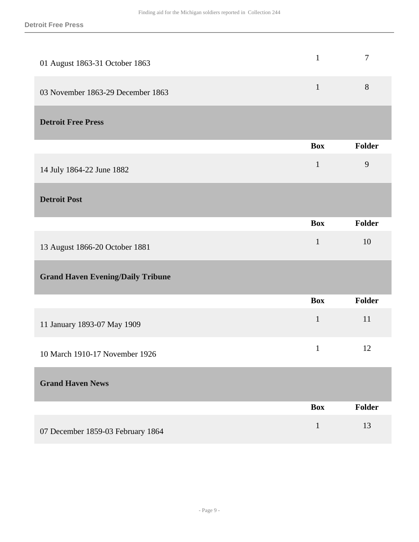<span id="page-8-3"></span><span id="page-8-2"></span><span id="page-8-1"></span><span id="page-8-0"></span>

| 01 August 1863-31 October 1863           | $\mathbf{1}$ | $\overline{7}$ |
|------------------------------------------|--------------|----------------|
| 03 November 1863-29 December 1863        | $\mathbf{1}$ | $8\,$          |
| <b>Detroit Free Press</b>                |              |                |
|                                          | <b>Box</b>   | Folder         |
| 14 July 1864-22 June 1882                | $\mathbf{1}$ | 9              |
| <b>Detroit Post</b>                      |              |                |
|                                          | <b>Box</b>   | Folder         |
| 13 August 1866-20 October 1881           | $\mathbf{1}$ | 10             |
| <b>Grand Haven Evening/Daily Tribune</b> |              |                |
|                                          | <b>Box</b>   | Folder         |
| 11 January 1893-07 May 1909              | $\mathbf{1}$ | 11             |
| 10 March 1910-17 November 1926           | $\mathbf{1}$ | 12             |
| <b>Grand Haven News</b>                  |              |                |
|                                          | <b>Box</b>   | Folder         |
|                                          |              |                |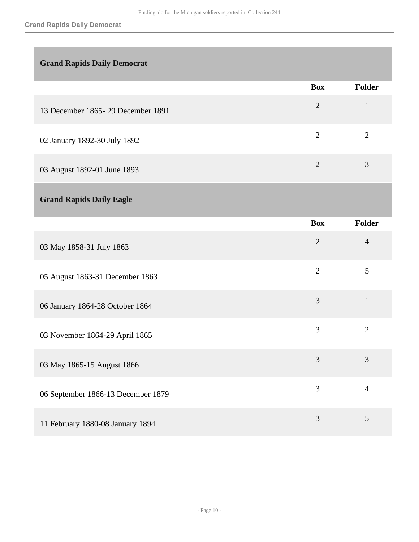<span id="page-9-0"></span>

|                                     | <b>Box</b>                  | <b>Folder</b> |
|-------------------------------------|-----------------------------|---------------|
| 13 December 1865 - 29 December 1891 | 2                           |               |
| 02 January 1892-30 July 1892        | $\mathcal{D}_{\mathcal{L}}$ | 2             |
| 03 August 1892-01 June 1893         | $\mathcal{D}$               | 3             |

### <span id="page-9-1"></span>**Grand Rapids Daily Eagle**

|                                    | <b>Box</b>     | <b>Folder</b>  |
|------------------------------------|----------------|----------------|
| 03 May 1858-31 July 1863           | $\overline{2}$ | $\overline{4}$ |
| 05 August 1863-31 December 1863    | $\overline{2}$ | 5              |
| 06 January 1864-28 October 1864    | 3              | $\mathbf{1}$   |
| 03 November 1864-29 April 1865     | 3              | $\overline{2}$ |
| 03 May 1865-15 August 1866         | 3              | 3              |
| 06 September 1866-13 December 1879 | 3              | $\overline{4}$ |
| 11 February 1880-08 January 1894   | 3              | 5              |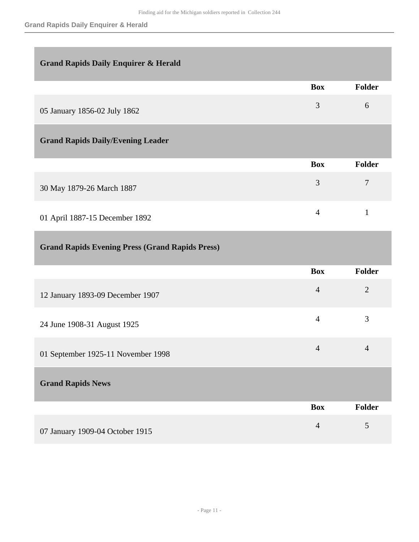### <span id="page-10-0"></span>**Grand Rapids Daily Enquirer & Herald**

<span id="page-10-1"></span>

|                                          | <b>Box</b>     | Folder |
|------------------------------------------|----------------|--------|
| 05 January 1856-02 July 1862             | 3              | 6      |
| <b>Grand Rapids Daily/Evening Leader</b> |                |        |
|                                          | <b>Box</b>     | Folder |
| 30 May 1879-26 March 1887                | 3              | 7      |
| 01 April 1887-15 December 1892           | $\overline{4}$ |        |

### <span id="page-10-2"></span>**Grand Rapids Evening Press (Grand Rapids Press)**

<span id="page-10-3"></span>

|                                    | <b>Box</b>     | Folder         |
|------------------------------------|----------------|----------------|
| 12 January 1893-09 December 1907   | $\overline{4}$ | $\overline{2}$ |
| 24 June 1908-31 August 1925        | $\overline{4}$ | 3              |
| 01 September 1925-11 November 1998 | $\overline{4}$ | $\overline{4}$ |
| <b>Grand Rapids News</b>           |                |                |
|                                    | <b>Box</b>     | Folder         |
| 07 January 1909-04 October 1915    | $\overline{4}$ | 5              |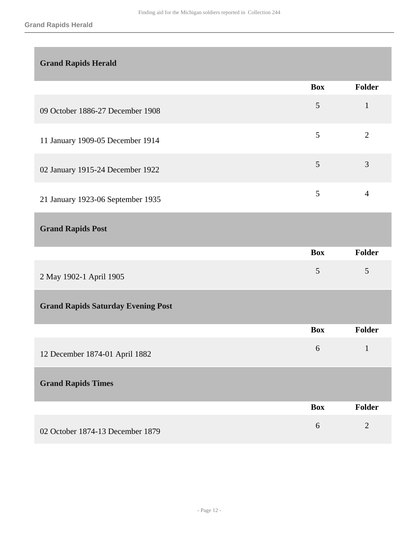### <span id="page-11-0"></span>**Grand Rapids Herald**

|                                   | <b>Box</b> | Folder |
|-----------------------------------|------------|--------|
| 09 October 1886-27 December 1908  | 5          |        |
| 11 January 1909-05 December 1914  | 5          | 2      |
| 02 January 1915-24 December 1922  | 5          | 3      |
| 21 January 1923-06 September 1935 | 5          | 4      |

### <span id="page-11-1"></span>**Grand Rapids Post**

<span id="page-11-3"></span><span id="page-11-2"></span>

|                                           | <b>Box</b> | Folder         |
|-------------------------------------------|------------|----------------|
| 2 May 1902-1 April 1905                   | 5          | 5              |
| <b>Grand Rapids Saturday Evening Post</b> |            |                |
|                                           | <b>Box</b> | Folder         |
| 12 December 1874-01 April 1882            | 6          | $\mathbf{1}$   |
| <b>Grand Rapids Times</b>                 |            |                |
|                                           | <b>Box</b> | Folder         |
| 02 October 1874-13 December 1879          | 6          | $\overline{2}$ |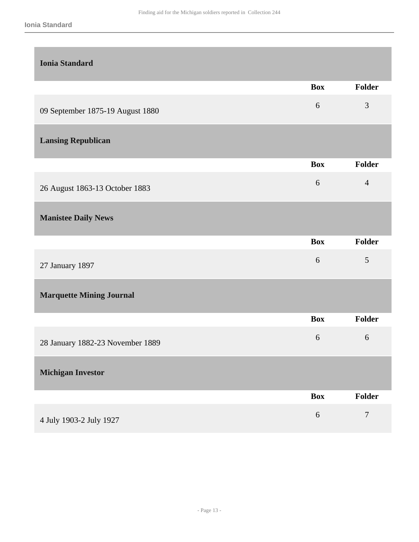<span id="page-12-4"></span><span id="page-12-3"></span><span id="page-12-2"></span><span id="page-12-1"></span><span id="page-12-0"></span>

| <b>Ionia Standard</b>            |            |                |
|----------------------------------|------------|----------------|
|                                  | <b>Box</b> | Folder         |
| 09 September 1875-19 August 1880 | 6          | $\mathfrak{Z}$ |
| <b>Lansing Republican</b>        |            |                |
|                                  | <b>Box</b> | <b>Folder</b>  |
| 26 August 1863-13 October 1883   | 6          | $\overline{4}$ |
| <b>Manistee Daily News</b>       |            |                |
|                                  | <b>Box</b> | Folder         |
| 27 January 1897                  | 6          | $\mathfrak{S}$ |
| <b>Marquette Mining Journal</b>  |            |                |
|                                  | <b>Box</b> | <b>Folder</b>  |
| 28 January 1882-23 November 1889 | 6          | 6              |
| <b>Michigan Investor</b>         |            |                |
|                                  | <b>Box</b> | Folder         |
| 4 July 1903-2 July 1927          | $\sqrt{6}$ | $\tau$         |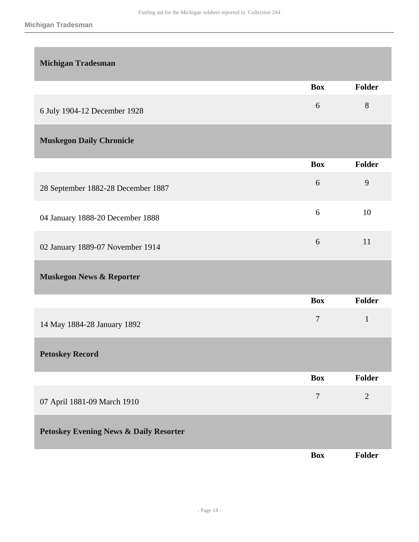<span id="page-13-4"></span><span id="page-13-3"></span><span id="page-13-2"></span><span id="page-13-1"></span><span id="page-13-0"></span>

| <b>Michigan Tradesman</b>                         |            |                |
|---------------------------------------------------|------------|----------------|
|                                                   | <b>Box</b> | Folder         |
| 6 July 1904-12 December 1928                      | 6          | 8              |
| <b>Muskegon Daily Chronicle</b>                   |            |                |
|                                                   | <b>Box</b> | Folder         |
| 28 September 1882-28 December 1887                | 6          | 9              |
| 04 January 1888-20 December 1888                  | 6          | 10             |
| 02 January 1889-07 November 1914                  | 6          | 11             |
| <b>Muskegon News &amp; Reporter</b>               |            |                |
|                                                   | <b>Box</b> | Folder         |
| 14 May 1884-28 January 1892                       | $\tau$     | $\mathbf{1}$   |
| <b>Petoskey Record</b>                            |            |                |
|                                                   | <b>Box</b> | Folder         |
| 07 April 1881-09 March 1910                       | $\tau$     | $\overline{2}$ |
| <b>Petoskey Evening News &amp; Daily Resorter</b> |            |                |
|                                                   | <b>Box</b> | <b>Folder</b>  |